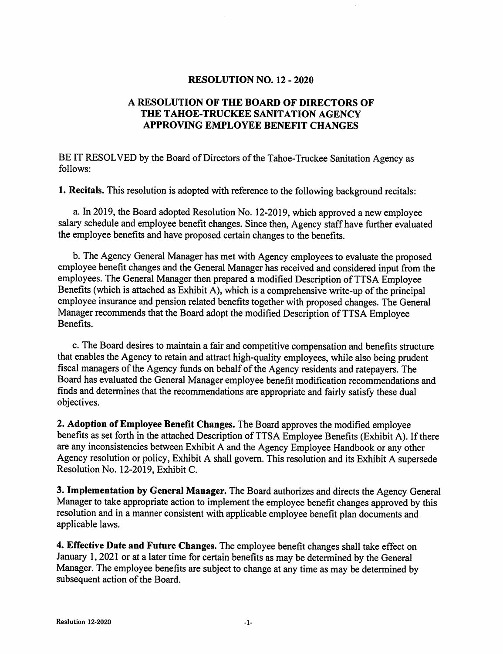#### **RESOLUTION NO. 12 - 2020**

### A RESOLUTION OF THE BOARD OF DIRECTORS OF THE TAHOE-TRUCKEE SANITATION AGENCY APPROVING EMPLOYEE BENEFIT CHANGES

BE IT RESOLVED by the Board of Directors of the Tahoe-Truckee Sanitation Agency as follows:

1. Recitals. This resolution is adopted with reference to the following background recitals:

a. In 2019, the Board adopted Resolution No. 12-2019, which approved a new employee salary schedule and employee benefit changes. Since then, Agency staff have further evaluated the employee benefits and have proposed certain changes to the benefits.

b. The Agency General Manager has met with Agency employees to evaluate the proposed employee benefit changes and the General Manager has received and considered input from the employees. The General Manager then prepared a modified Description of TTSA Employee Benefits (which is attached as Exhibit  $\overline{A}$ ), which is a comprehensive write-up of the principal employee insurance and pension related benefits together with proposed changes. The General Manager recommends that the Board adopt the modified Description of TTSA Employee Benefits.

c. The Board desires to maintain a fair and competitive compensation and benefits structure that enables the Agency to retain and attract high-quality employees, while also being prudent fiscal managers of the Agency funds on behalf of the Agency residents and ratepayers. The Board has evaluated the General Manager employee benefit modification recommendations and finds and determines that the recommendations are appropriate and fairly satisfy these dual objectives.

2. Adoption of Employee Benefit Changes. The Board approves the modified employee benefits as set forth in the attached Description of TTSA Employee Benefits (Exhibit A). If there are any inconsistencies between Exhibit A and the Agency Employee Handbook or any other Agency resolution or policy, Exhibit A shall govern. This resolution and its Exhibit A supersede Resolution No. 12-2019, Exhibit C.

3. Implementation by General Manager. The Board authorizes and directs the Agency General Manager to take appropriate action to implement the employee benefit changes approved by this resolution and in a manner consistent with applicable employee benefit plan documents and applicable laws.

4. Effective Date and Future Changes. The employee benefit changes shall take effect on January 1, 2021 or at a later time for certain benefits as may be determined by the General Manager. The employee benefits are subject to change at any time as may be determined by subsequent action of the Board.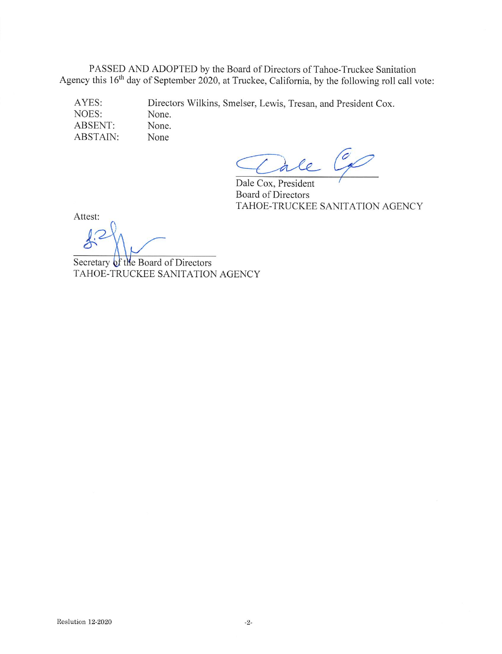PASSED AND ADOPTED by the Board of Directors of Tahoe-Truckee Sanitation Agency this 16<sup>th</sup> day of September 2020, at Truckee, California, by the following roll call vote:

AYES: Directors Wilkins, Smelser, Lewis, Tresan, and President Cox. NOES: None. ABSENT: None. ABSTAIN: None

Cale Co

Dale Cox, President **Board of Directors** TAHOE-TRUCKEE SANITATION AGENCY

Attest:

Secretary of the Board of Directors TAHOE-TRUCKEE SANITATION AGENCY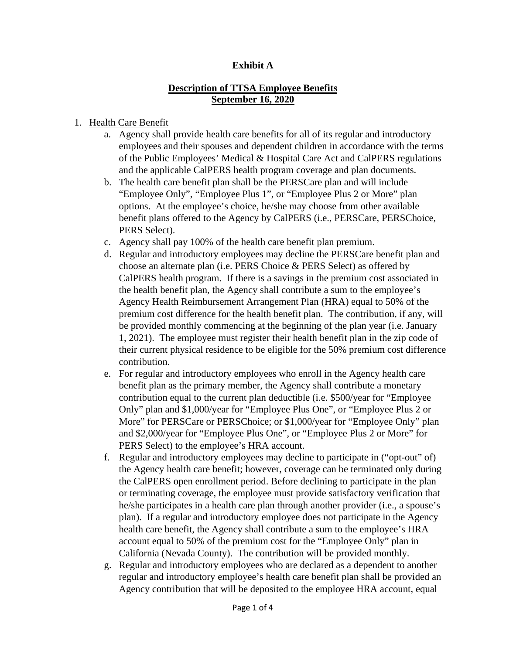### **Exhibit A**

### **Description of TTSA Employee Benefits September 16, 2020**

### 1. Health Care Benefit

- a. Agency shall provide health care benefits for all of its regular and introductory employees and their spouses and dependent children in accordance with the terms of the Public Employees' Medical & Hospital Care Act and CalPERS regulations and the applicable CalPERS health program coverage and plan documents.
- b. The health care benefit plan shall be the PERSCare plan and will include "Employee Only", "Employee Plus 1", or "Employee Plus 2 or More" plan options. At the employee's choice, he/she may choose from other available benefit plans offered to the Agency by CalPERS (i.e., PERSCare, PERSChoice, PERS Select).
- c. Agency shall pay 100% of the health care benefit plan premium.
- d. Regular and introductory employees may decline the PERSCare benefit plan and choose an alternate plan (i.e. PERS Choice & PERS Select) as offered by CalPERS health program. If there is a savings in the premium cost associated in the health benefit plan, the Agency shall contribute a sum to the employee's Agency Health Reimbursement Arrangement Plan (HRA) equal to 50% of the premium cost difference for the health benefit plan. The contribution, if any, will be provided monthly commencing at the beginning of the plan year (i.e. January 1, 2021). The employee must register their health benefit plan in the zip code of their current physical residence to be eligible for the 50% premium cost difference contribution.
- e. For regular and introductory employees who enroll in the Agency health care benefit plan as the primary member, the Agency shall contribute a monetary contribution equal to the current plan deductible (i.e. \$500/year for "Employee Only" plan and \$1,000/year for "Employee Plus One", or "Employee Plus 2 or More" for PERSCare or PERSChoice; or \$1,000/year for "Employee Only" plan and \$2,000/year for "Employee Plus One", or "Employee Plus 2 or More" for PERS Select) to the employee's HRA account.
- f. Regular and introductory employees may decline to participate in ("opt-out" of) the Agency health care benefit; however, coverage can be terminated only during the CalPERS open enrollment period. Before declining to participate in the plan or terminating coverage, the employee must provide satisfactory verification that he/she participates in a health care plan through another provider (i.e., a spouse's plan). If a regular and introductory employee does not participate in the Agency health care benefit, the Agency shall contribute a sum to the employee's HRA account equal to 50% of the premium cost for the "Employee Only" plan in California (Nevada County). The contribution will be provided monthly.
- g. Regular and introductory employees who are declared as a dependent to another regular and introductory employee's health care benefit plan shall be provided an Agency contribution that will be deposited to the employee HRA account, equal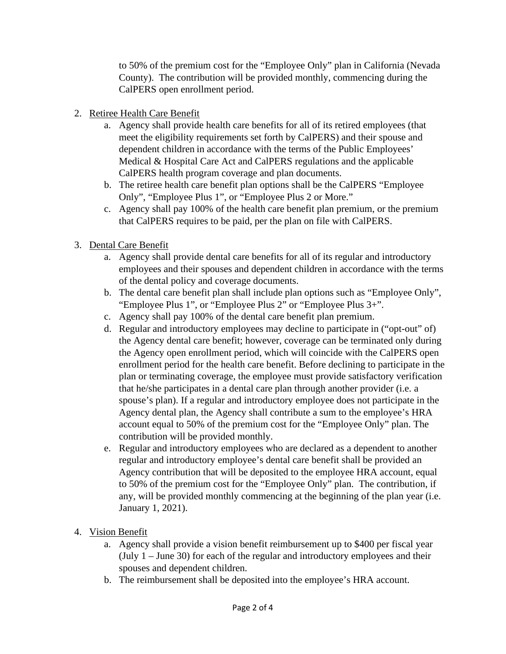to 50% of the premium cost for the "Employee Only" plan in California (Nevada County). The contribution will be provided monthly, commencing during the CalPERS open enrollment period.

- 2. Retiree Health Care Benefit
	- a. Agency shall provide health care benefits for all of its retired employees (that meet the eligibility requirements set forth by CalPERS) and their spouse and dependent children in accordance with the terms of the Public Employees' Medical & Hospital Care Act and CalPERS regulations and the applicable CalPERS health program coverage and plan documents.
	- b. The retiree health care benefit plan options shall be the CalPERS "Employee Only", "Employee Plus 1", or "Employee Plus 2 or More."
	- c. Agency shall pay 100% of the health care benefit plan premium, or the premium that CalPERS requires to be paid, per the plan on file with CalPERS.
- 3. Dental Care Benefit
	- a. Agency shall provide dental care benefits for all of its regular and introductory employees and their spouses and dependent children in accordance with the terms of the dental policy and coverage documents.
	- b. The dental care benefit plan shall include plan options such as "Employee Only", "Employee Plus 1", or "Employee Plus 2" or "Employee Plus 3+".
	- c. Agency shall pay 100% of the dental care benefit plan premium.
	- d. Regular and introductory employees may decline to participate in ("opt-out" of) the Agency dental care benefit; however, coverage can be terminated only during the Agency open enrollment period, which will coincide with the CalPERS open enrollment period for the health care benefit. Before declining to participate in the plan or terminating coverage, the employee must provide satisfactory verification that he/she participates in a dental care plan through another provider (i.e. a spouse's plan). If a regular and introductory employee does not participate in the Agency dental plan, the Agency shall contribute a sum to the employee's HRA account equal to 50% of the premium cost for the "Employee Only" plan. The contribution will be provided monthly.
	- e. Regular and introductory employees who are declared as a dependent to another regular and introductory employee's dental care benefit shall be provided an Agency contribution that will be deposited to the employee HRA account, equal to 50% of the premium cost for the "Employee Only" plan. The contribution, if any, will be provided monthly commencing at the beginning of the plan year (i.e. January 1, 2021).
- 4. Vision Benefit
	- a. Agency shall provide a vision benefit reimbursement up to \$400 per fiscal year (July 1 – June 30) for each of the regular and introductory employees and their spouses and dependent children.
	- b. The reimbursement shall be deposited into the employee's HRA account.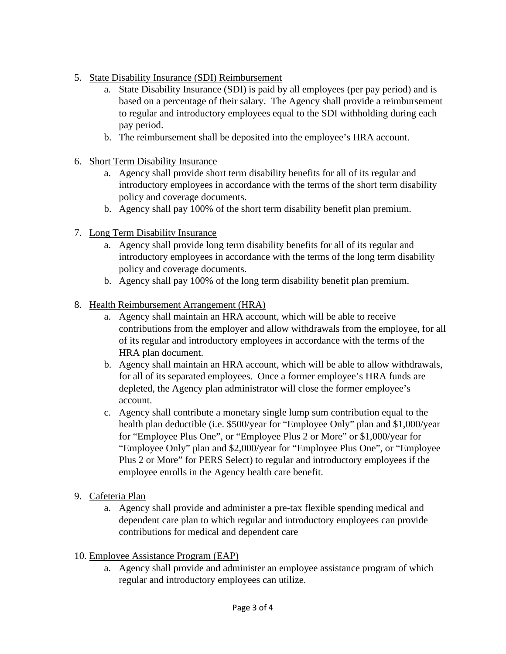- 5. State Disability Insurance (SDI) Reimbursement
	- a. State Disability Insurance (SDI) is paid by all employees (per pay period) and is based on a percentage of their salary. The Agency shall provide a reimbursement to regular and introductory employees equal to the SDI withholding during each pay period.
	- b. The reimbursement shall be deposited into the employee's HRA account.
- 6. Short Term Disability Insurance
	- a. Agency shall provide short term disability benefits for all of its regular and introductory employees in accordance with the terms of the short term disability policy and coverage documents.
	- b. Agency shall pay 100% of the short term disability benefit plan premium.
- 7. Long Term Disability Insurance
	- a. Agency shall provide long term disability benefits for all of its regular and introductory employees in accordance with the terms of the long term disability policy and coverage documents.
	- b. Agency shall pay 100% of the long term disability benefit plan premium.
- 8. Health Reimbursement Arrangement (HRA)
	- a. Agency shall maintain an HRA account, which will be able to receive contributions from the employer and allow withdrawals from the employee, for all of its regular and introductory employees in accordance with the terms of the HRA plan document.
	- b. Agency shall maintain an HRA account, which will be able to allow withdrawals, for all of its separated employees. Once a former employee's HRA funds are depleted, the Agency plan administrator will close the former employee's account.
	- c. Agency shall contribute a monetary single lump sum contribution equal to the health plan deductible (i.e. \$500/year for "Employee Only" plan and \$1,000/year for "Employee Plus One", or "Employee Plus 2 or More" or \$1,000/year for "Employee Only" plan and \$2,000/year for "Employee Plus One", or "Employee Plus 2 or More" for PERS Select) to regular and introductory employees if the employee enrolls in the Agency health care benefit.
- 9. Cafeteria Plan
	- a. Agency shall provide and administer a pre-tax flexible spending medical and dependent care plan to which regular and introductory employees can provide contributions for medical and dependent care
- 10. Employee Assistance Program (EAP)
	- a. Agency shall provide and administer an employee assistance program of which regular and introductory employees can utilize.